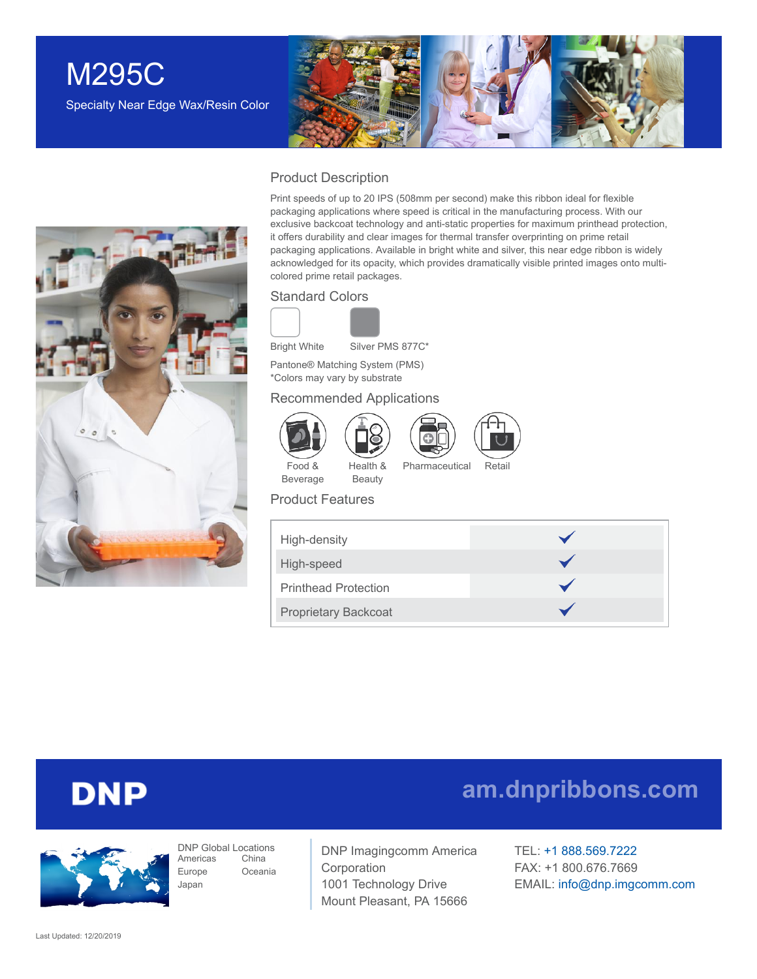## M295C Specialty Near Edge Wax/Resin Color





#### Product Description

Print speeds of up to 20 IPS (508mm per second) make this ribbon ideal for flexible packaging applications where speed is critical in the manufacturing process. With our exclusive backcoat technology and anti-static properties for maximum printhead protection, it offers durability and clear images for thermal transfer overprinting on prime retail packaging applications. Available in bright white and silver, this near edge ribbon is widely acknowledged for its opacity, which provides dramatically visible printed images onto multicolored prime retail packages.

#### Standard Colors



Bright White Silver PMS 877C\*

Pantone® Matching System (PMS) \*Colors may vary by substrate

#### Recommended Applications

Health & Beauty



Food & Beverage



Pharmaceutical Retail

#### Product Features

| High-density                |  |
|-----------------------------|--|
| High-speed                  |  |
| <b>Printhead Protection</b> |  |
| <b>Proprietary Backcoat</b> |  |

## **DNP**



DNP Global Locations Americas Europe Japan China Oceania

DNP Imagingcomm America Corporation 1001 Technology Drive Mount Pleasant, PA 15666

TEL: +1 [888.569.7222](tel:1.888.569.7222) FAX: +1 800.676.7669 EMAIL: [info@dnp.imgcomm.com](mailto:info@dnp.imgcomm.com)

**[am.dnpribbons.com](http://am.dnpribbons.com/)**